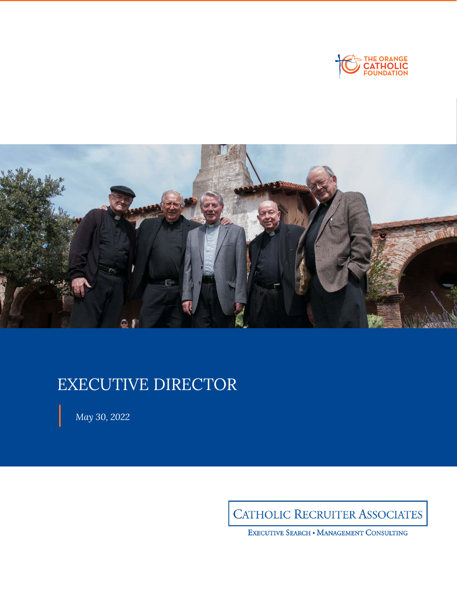



# EXECUTIVE DIRECTOR

*May 30, 2022*

CATHOLIC RECRUITER ASSOCIATES

EXECUTIVE SEARCH . MANAGEMENT CONSULTING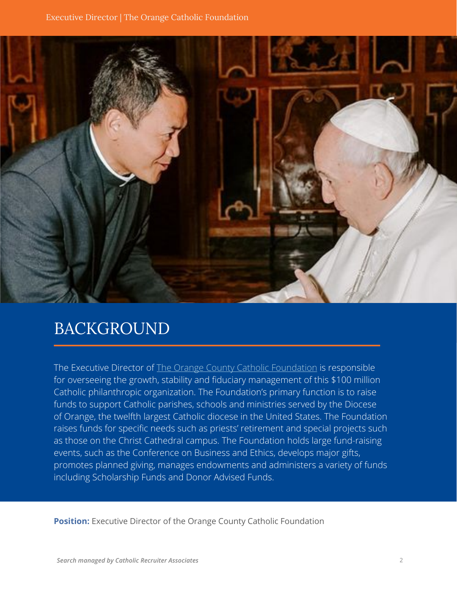

## BACKGROUND

The Executive Director of The Orange County Catholic Foundation is responsible for overseeing the growth, stability and fiduciary management of this \$100 million Catholic philanthropic organization. The Foundation's primary function is to raise funds to support Catholic parishes, schools and ministries served by the Diocese of Orange, the twelfth largest Catholic diocese in the United States. The Foundation raises funds for specific needs such as priests' retirement and special projects such as those on the Christ Cathedral campus. The Foundation holds large fund-raising events, such as the Conference on Business and Ethics, develops major gifts, promotes planned giving, manages endowments and administers a variety of funds including Scholarship Funds and Donor Advised Funds.

**Position:** Executive Director of the Orange County Catholic Foundation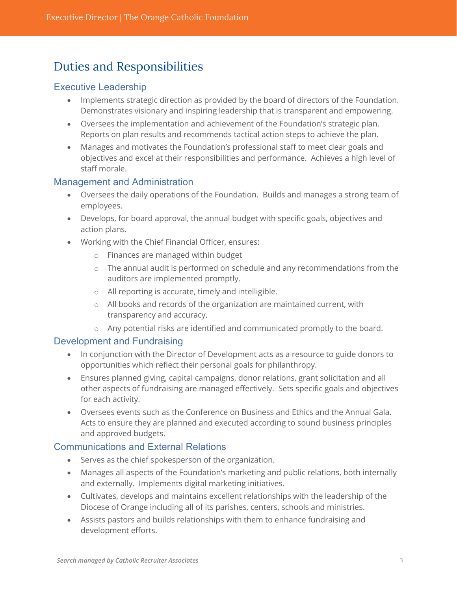### Duties and Responsibilities

#### Executive Leadership

- Implements strategic direction as provided by the board of directors of the Foundation. Demonstrates visionary and inspiring leadership that is transparent and empowering.
- Oversees the implementation and achievement of the Foundation's strategic plan. Reports on plan results and recommends tactical action steps to achieve the plan.
- Manages and motivates the Foundation's professional staff to meet clear goals and objectives and excel at their responsibilities and performance. Achieves a high level of staff morale.

#### Management and Administration

- Oversees the daily operations of the Foundation. Builds and manages a strong team of employees.
- Develops, for board approval, the annual budget with specific goals, objectives and action plans.
- Working with the Chief Financial Officer, ensures:
	- o Finances are managed within budget
	- o The annual audit is performed on schedule and any recommendations from the auditors are implemented promptly.
	- o All reporting is accurate, timely and intelligible.
	- o All books and records of the organization are maintained current, with transparency and accuracy.
	- o Any potential risks are identified and communicated promptly to the board.

#### Development and Fundraising

- In conjunction with the Director of Development acts as a resource to guide donors to opportunities which reflect their personal goals for philanthropy.
- Ensures planned giving, capital campaigns, donor relations, grant solicitation and all other aspects of fundraising are managed effectively. Sets specific goals and objectives for each activity.
- Oversees events such as the Conference on Business and Ethics and the Annual Gala. Acts to ensure they are planned and executed according to sound business principles and approved budgets.

#### Communications and External Relations

- Serves as the chief spokesperson of the organization.
- Manages all aspects of the Foundation's marketing and public relations, both internally and externally. Implements digital marketing initiatives.
- Cultivates, develops and maintains excellent relationships with the leadership of the Diocese of Orange including all of its parishes, centers, schools and ministries.
- Assists pastors and builds relationships with them to enhance fundraising and development efforts.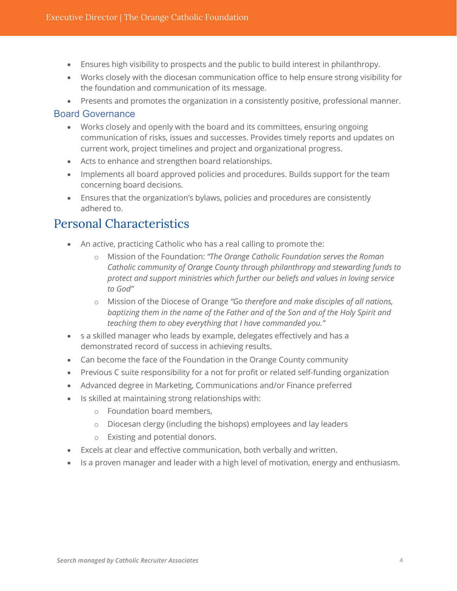- Ensures high visibility to prospects and the public to build interest in philanthropy.
- Works closely with the diocesan communication office to help ensure strong visibility for the foundation and communication of its message.
- Presents and promotes the organization in a consistently positive, professional manner.

#### Board Governance

- Works closely and openly with the board and its committees, ensuring ongoing communication of risks, issues and successes. Provides timely reports and updates on current work, project timelines and project and organizational progress.
- Acts to enhance and strengthen board relationships.
- Implements all board approved policies and procedures. Builds support for the team concerning board decisions.
- Ensures that the organization's bylaws, policies and procedures are consistently adhered to.

### Personal Characteristics

- An active, practicing Catholic who has a real calling to promote the:
	- o Mission of the Foundation: *"The Orange Catholic Foundation serves the Roman Catholic community of Orange County through philanthropy and stewarding funds to protect and support ministries which further our beliefs and values in loving service to God"*
	- o Mission of the Diocese of Orange *"Go therefore and make disciples of all nations, baptizing them in the name of the Father and of the Son and of the Holy Spirit and teaching them to obey everything that I have commanded you."*
- s a skilled manager who leads by example, delegates effectively and has a demonstrated record of success in achieving results.
- Can become the face of the Foundation in the Orange County community
- Previous C suite responsibility for a not for profit or related self-funding organization
- Advanced degree in Marketing, Communications and/or Finance preferred
- Is skilled at maintaining strong relationships with:
	- o Foundation board members,
	- o Diocesan clergy (including the bishops) employees and lay leaders
	- o Existing and potential donors.
- Excels at clear and effective communication, both verbally and written.
- Is a proven manager and leader with a high level of motivation, energy and enthusiasm.